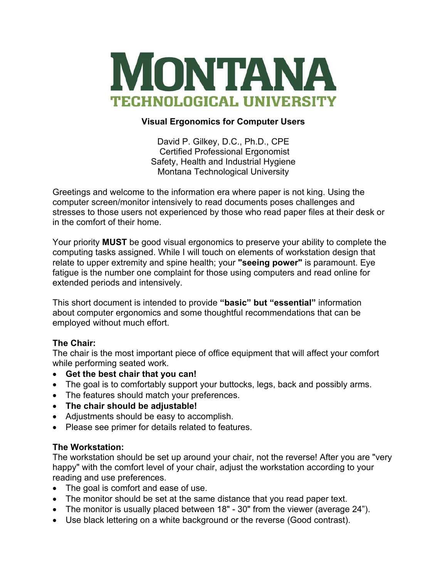

## **Visual Ergonomics for Computer Users**

David P. Gilkey, D.C., Ph.D., CPE Certified Professional Ergonomist Safety, Health and Industrial Hygiene Montana Technological University

Greetings and welcome to the information era where paper is not king. Using the computer screen/monitor intensively to read documents poses challenges and stresses to those users not experienced by those who read paper files at their desk or in the comfort of their home.

Your priority **MUST** be good visual ergonomics to preserve your ability to complete the computing tasks assigned. While I will touch on elements of workstation design that relate to upper extremity and spine health; your **"seeing power"** is paramount. Eye fatigue is the number one complaint for those using computers and read online for extended periods and intensively.

This short document is intended to provide **"basic" but "essential"** information about computer ergonomics and some thoughtful recommendations that can be employed without much effort.

# **The Chair:**

The chair is the most important piece of office equipment that will affect your comfort while performing seated work.

- **Get the best chair that you can!**
- The goal is to comfortably support your buttocks, legs, back and possibly arms.
- The features should match your preferences.
- **The chair should be adjustable!**
- Adjustments should be easy to accomplish.
- Please see primer for details related to features.

## **The Workstation:**

The workstation should be set up around your chair, not the reverse! After you are "very happy" with the comfort level of your chair, adjust the workstation according to your reading and use preferences.

- The goal is comfort and ease of use.
- The monitor should be set at the same distance that you read paper text.
- The monitor is usually placed between 18" 30" from the viewer (average 24").
- Use black lettering on a white background or the reverse (Good contrast).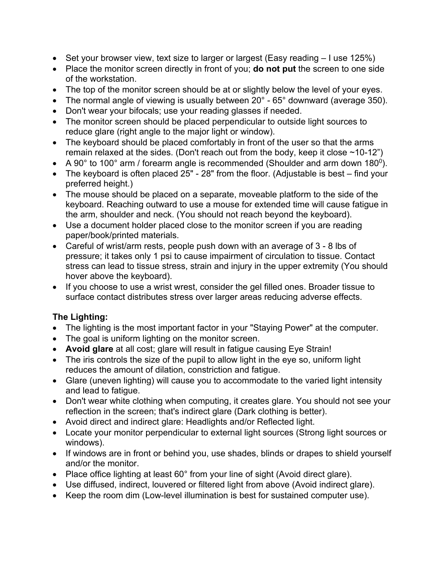- Set your browser view, text size to larger or largest (Easy reading I use 125%)
- Place the monitor screen directly in front of you; **do not put** the screen to one side of the workstation.
- The top of the monitor screen should be at or slightly below the level of your eyes.
- The normal angle of viewing is usually between 20° 65° downward (average 350).
- Don't wear your bifocals; use your reading glasses if needed.
- The monitor screen should be placed perpendicular to outside light sources to reduce glare (right angle to the major light or window).
- The keyboard should be placed comfortably in front of the user so that the arms remain relaxed at the sides. (Don't reach out from the body, keep it close  $\sim$ 10-12")
- A 90 $^{\circ}$  to 100 $^{\circ}$  arm / forearm angle is recommended (Shoulder and arm down 180 $^{0}$ ).
- The keyboard is often placed 25" 28" from the floor. (Adjustable is best find your preferred height.)
- The mouse should be placed on a separate, moveable platform to the side of the keyboard. Reaching outward to use a mouse for extended time will cause fatigue in the arm, shoulder and neck. (You should not reach beyond the keyboard).
- Use a document holder placed close to the monitor screen if you are reading paper/book/printed materials.
- Careful of wrist/arm rests, people push down with an average of 3 8 lbs of pressure; it takes only 1 psi to cause impairment of circulation to tissue. Contact stress can lead to tissue stress, strain and injury in the upper extremity (You should hover above the keyboard).
- If you choose to use a wrist wrest, consider the gel filled ones. Broader tissue to surface contact distributes stress over larger areas reducing adverse effects.

# **The Lighting:**

- The lighting is the most important factor in your "Staying Power" at the computer.
- The goal is uniform lighting on the monitor screen.
- **Avoid glare** at all cost; glare will result in fatigue causing Eye Strain!
- The iris controls the size of the pupil to allow light in the eye so, uniform light reduces the amount of dilation, constriction and fatigue.
- Glare (uneven lighting) will cause you to accommodate to the varied light intensity and lead to fatigue.
- Don't wear white clothing when computing, it creates glare. You should not see your reflection in the screen; that's indirect glare (Dark clothing is better).
- Avoid direct and indirect glare: Headlights and/or Reflected light.
- Locate your monitor perpendicular to external light sources (Strong light sources or windows).
- If windows are in front or behind you, use shades, blinds or drapes to shield yourself and/or the monitor.
- Place office lighting at least 60° from your line of sight (Avoid direct glare).
- Use diffused, indirect, louvered or filtered light from above (Avoid indirect glare).
- Keep the room dim (Low-level illumination is best for sustained computer use).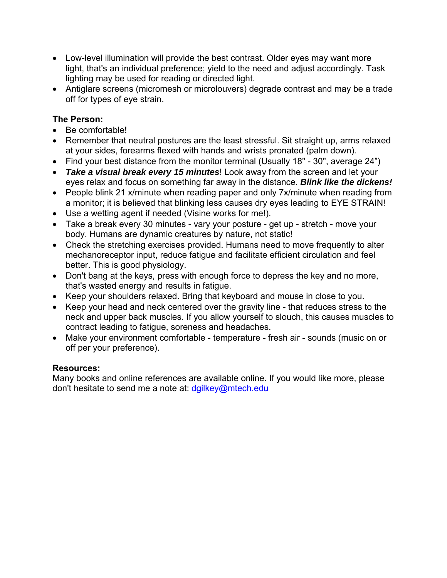- Low-level illumination will provide the best contrast. Older eyes may want more light, that's an individual preference; yield to the need and adjust accordingly. Task lighting may be used for reading or directed light.
- Antiglare screens (micromesh or microlouvers) degrade contrast and may be a trade off for types of eye strain.

# **The Person:**

- Be comfortable!
- Remember that neutral postures are the least stressful. Sit straight up, arms relaxed at your sides, forearms flexed with hands and wrists pronated (palm down).
- Find your best distance from the monitor terminal (Usually 18" 30", average 24")
- *Take a visual break every 15 minutes*! Look away from the screen and let your eyes relax and focus on something far away in the distance. *Blink like the dickens!*
- People blink 21 x/minute when reading paper and only 7x/minute when reading from a monitor; it is believed that blinking less causes dry eyes leading to EYE STRAIN!
- Use a wetting agent if needed (Visine works for me!).
- Take a break every 30 minutes vary your posture get up stretch move your body. Humans are dynamic creatures by nature, not static!
- Check the stretching exercises provided. Humans need to move frequently to alter mechanoreceptor input, reduce fatigue and facilitate efficient circulation and feel better. This is good physiology.
- Don't bang at the keys, press with enough force to depress the key and no more, that's wasted energy and results in fatigue.
- Keep your shoulders relaxed. Bring that keyboard and mouse in close to you.
- Keep your head and neck centered over the gravity line that reduces stress to the neck and upper back muscles. If you allow yourself to slouch, this causes muscles to contract leading to fatigue, soreness and headaches.
- Make your environment comfortable temperature fresh air sounds (music on or off per your preference).

# **Resources:**

Many books and online references are available online. If you would like more, please don't hesitate to send me a note at: dgilkey@mtech.edu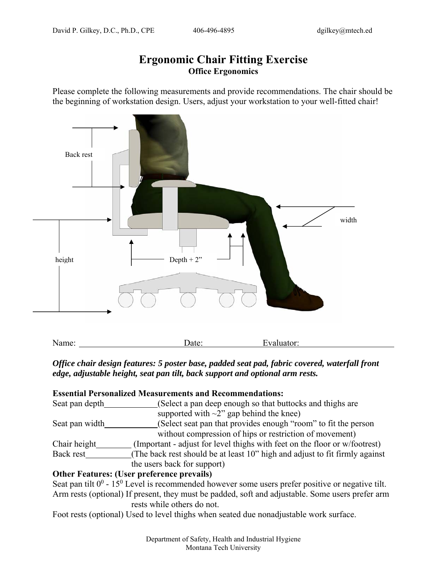# **Ergonomic Chair Fitting Exercise Office Ergonomics**

Please complete the following measurements and provide recommendations. The chair should be the beginning of workstation design. Users, adjust your workstation to your well-fitted chair!



*Office chair design features: 5 poster base, padded seat pad, fabric covered, waterfall front edge, adjustable height, seat pan tilt, back support and optional arm rests.* 

| <b>Essential Personalized Measurements and Recommendations:</b> |                                                                             |  |  |
|-----------------------------------------------------------------|-----------------------------------------------------------------------------|--|--|
| Seat pan depth                                                  | (Select a pan deep enough so that buttocks and thighs are                   |  |  |
|                                                                 | supported with $\sim$ 2" gap behind the knee)                               |  |  |
| Seat pan width                                                  | (Select seat pan that provides enough "room" to fit the person              |  |  |
|                                                                 | without compression of hips or restriction of movement)                     |  |  |
| Chair height                                                    | (Important - adjust for level thighs with feet on the floor or w/footrest)  |  |  |
| Back rest                                                       | (The back rest should be at least 10" high and adjust to fit firmly against |  |  |
|                                                                 | the users back for support)                                                 |  |  |
|                                                                 | <b>Other Features: (User preference prevails)</b>                           |  |  |

Seat pan tilt  $0^0$  - 15<sup>0</sup> Level is recommended however some users prefer positive or negative tilt. Arm rests (optional) If present, they must be padded, soft and adjustable. Some users prefer arm rests while others do not.

Foot rests (optional) Used to level thighs when seated due nonadjustable work surface.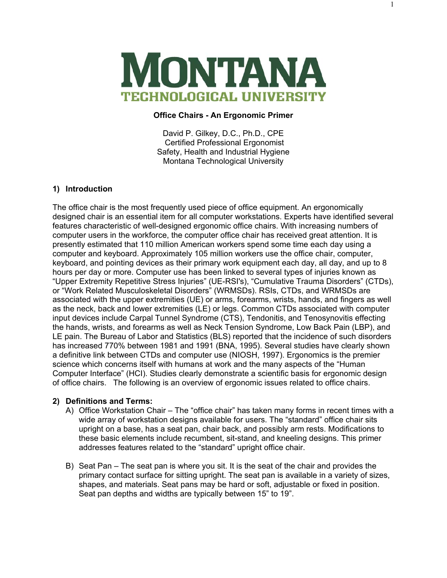

#### **Office Chairs - An Ergonomic Primer**

David P. Gilkey, D.C., Ph.D., CPE Certified Professional Ergonomist Safety, Health and Industrial Hygiene Montana Technological University

#### **1) Introduction**

The office chair is the most frequently used piece of office equipment. An ergonomically designed chair is an essential item for all computer workstations. Experts have identified several features characteristic of well-designed ergonomic office chairs. With increasing numbers of computer users in the workforce, the computer office chair has received great attention. It is presently estimated that 110 million American workers spend some time each day using a computer and keyboard. Approximately 105 million workers use the office chair, computer, keyboard, and pointing devices as their primary work equipment each day, all day, and up to 8 hours per day or more. Computer use has been linked to several types of injuries known as "Upper Extremity Repetitive Stress Injuries" (UE-RSI's), "Cumulative Trauma Disorders" (CTDs), or "Work Related Musculoskeletal Disorders" (WRMSDs). RSIs, CTDs, and WRMSDs are associated with the upper extremities (UE) or arms, forearms, wrists, hands, and fingers as well as the neck, back and lower extremities (LE) or legs. Common CTDs associated with computer input devices include Carpal Tunnel Syndrome (CTS), Tendonitis, and Tenosynovitis effecting the hands, wrists, and forearms as well as Neck Tension Syndrome, Low Back Pain (LBP), and LE pain. The Bureau of Labor and Statistics (BLS) reported that the incidence of such disorders has increased 770% between 1981 and 1991 (BNA, 1995). Several studies have clearly shown a definitive link between CTDs and computer use (NIOSH, 1997). Ergonomics is the premier science which concerns itself with humans at work and the many aspects of the "Human Computer Interface" (HCI). Studies clearly demonstrate a scientific basis for ergonomic design of office chairs. The following is an overview of ergonomic issues related to office chairs.

#### **2) Definitions and Terms:**

- A) Office Workstation Chair The "office chair" has taken many forms in recent times with a wide array of workstation designs available for users. The "standard" office chair sits upright on a base, has a seat pan, chair back, and possibly arm rests. Modifications to these basic elements include recumbent, sit-stand, and kneeling designs. This primer addresses features related to the "standard" upright office chair.
- B) Seat Pan The seat pan is where you sit. It is the seat of the chair and provides the primary contact surface for sitting upright. The seat pan is available in a variety of sizes, shapes, and materials. Seat pans may be hard or soft, adjustable or fixed in position. Seat pan depths and widths are typically between 15" to 19".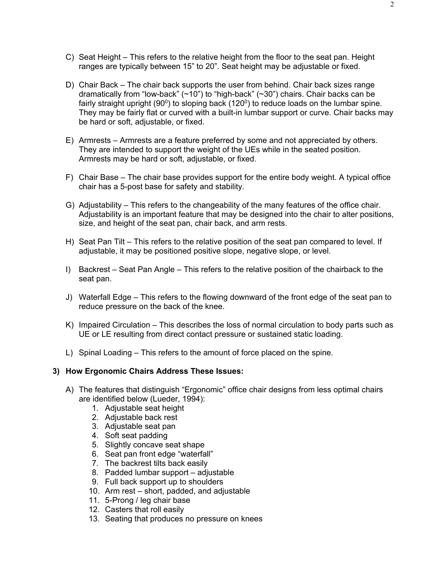- C) Seat Height This refers to the relative height from the floor to the seat pan. Height ranges are typically between 15" to 20". Seat height may be adjustable or fixed.
- D) Chair Back The chair back supports the user from behind. Chair back sizes range dramatically from "low-back"  $(\sim 10)$ " to "high-back"  $(\sim 30)$ " chairs. Chair backs can be fairly straight upright  $(90^{\circ})$  to sloping back  $(120^{\circ})$  to reduce loads on the lumbar spine. They may be fairly flat or curved with a built-in lumbar support or curve. Chair backs may be hard or soft, adjustable, or fixed.
- E) Armrests Armrests are a feature preferred by some and not appreciated by others. They are intended to support the weight of the UEs while in the seated position. Armrests may be hard or soft, adjustable, or fixed.
- F) Chair Base The chair base provides support for the entire body weight. A typical office chair has a 5-post base for safety and stability.
- G) Adjustability This refers to the changeability of the many features of the office chair. Adjustability is an important feature that may be designed into the chair to alter positions, size, and height of the seat pan, chair back, and arm rests.
- H) Seat Pan Tilt This refers to the relative position of the seat pan compared to level. If adjustable, it may be positioned positive slope, negative slope, or level.
- I) Backrest Seat Pan Angle This refers to the relative position of the chairback to the seat pan.
- J) Waterfall Edge This refers to the flowing downward of the front edge of the seat pan to reduce pressure on the back of the knee.
- K) Impaired Circulation This describes the loss of normal circulation to body parts such as UE or LE resulting from direct contact pressure or sustained static loading.
- L) Spinal Loading This refers to the amount of force placed on the spine.

#### **3) How Ergonomic Chairs Address These Issues:**

- A) The features that distinguish "Ergonomic" office chair designs from less optimal chairs are identified below (Lueder, 1994):
	- 1. Adjustable seat height
	- 2. Adjustable back rest
	- 3. Adjustable seat pan
	- 4. Soft seat padding
	- 5. Slightly concave seat shape
	- 6. Seat pan front edge "waterfall"
	- 7. The backrest tilts back easily
	- 8. Padded lumbar support adjustable
	- 9. Full back support up to shoulders
	- 10. Arm rest short, padded, and adjustable
	- 11. 5-Prong / leg chair base
	- 12. Casters that roll easily
	- 13. Seating that produces no pressure on knees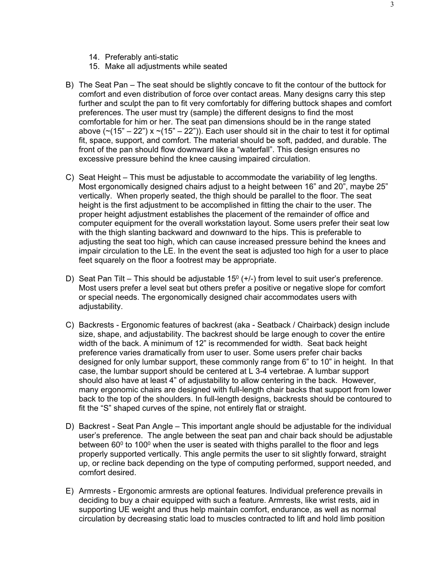- 14. Preferably anti-static
- 15. Make all adjustments while seated
- B) The Seat Pan The seat should be slightly concave to fit the contour of the buttock for comfort and even distribution of force over contact areas. Many designs carry this step further and sculpt the pan to fit very comfortably for differing buttock shapes and comfort preferences. The user must try (sample) the different designs to find the most comfortable for him or her. The seat pan dimensions should be in the range stated above  $(\sim (15" - 22")$  x  $\sim (15" - 22")$ ). Each user should sit in the chair to test it for optimal fit, space, support, and comfort. The material should be soft, padded, and durable. The front of the pan should flow downward like a "waterfall". This design ensures no excessive pressure behind the knee causing impaired circulation.
- C) Seat Height This must be adjustable to accommodate the variability of leg lengths. Most ergonomically designed chairs adjust to a height between 16" and 20", maybe 25" vertically. When properly seated, the thigh should be parallel to the floor. The seat height is the first adjustment to be accomplished in fitting the chair to the user. The proper height adjustment establishes the placement of the remainder of office and computer equipment for the overall workstation layout. Some users prefer their seat low with the thigh slanting backward and downward to the hips. This is preferable to adjusting the seat too high, which can cause increased pressure behind the knees and impair circulation to the LE. In the event the seat is adjusted too high for a user to place feet squarely on the floor a footrest may be appropriate.
- D) Seat Pan Tilt This should be adjustable 15<sup>0</sup> (+/-) from level to suit user's preference. Most users prefer a level seat but others prefer a positive or negative slope for comfort or special needs. The ergonomically designed chair accommodates users with adjustability.
- C) Backrests Ergonomic features of backrest (aka Seatback / Chairback) design include size, shape, and adjustability. The backrest should be large enough to cover the entire width of the back. A minimum of 12" is recommended for width. Seat back height preference varies dramatically from user to user. Some users prefer chair backs designed for only lumbar support, these commonly range from 6" to 10" in height. In that case, the lumbar support should be centered at L 3-4 vertebrae. A lumbar support should also have at least 4" of adjustability to allow centering in the back. However, many ergonomic chairs are designed with full-length chair backs that support from lower back to the top of the shoulders. In full-length designs, backrests should be contoured to fit the "S" shaped curves of the spine, not entirely flat or straight.
- D) Backrest Seat Pan Angle This important angle should be adjustable for the individual user's preference. The angle between the seat pan and chair back should be adjustable between  $60^{\circ}$  to 100 $^{\circ}$  when the user is seated with thighs parallel to the floor and legs properly supported vertically. This angle permits the user to sit slightly forward, straight up, or recline back depending on the type of computing performed, support needed, and comfort desired.
- E) Armrests Ergonomic armrests are optional features. Individual preference prevails in deciding to buy a chair equipped with such a feature. Armrests, like wrist rests, aid in supporting UE weight and thus help maintain comfort, endurance, as well as normal circulation by decreasing static load to muscles contracted to lift and hold limb position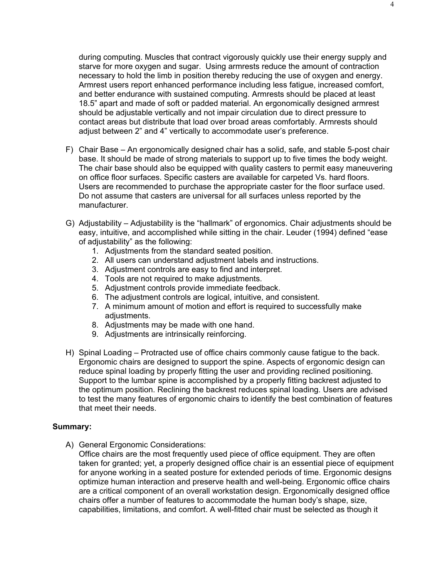during computing. Muscles that contract vigorously quickly use their energy supply and starve for more oxygen and sugar. Using armrests reduce the amount of contraction necessary to hold the limb in position thereby reducing the use of oxygen and energy. Armrest users report enhanced performance including less fatigue, increased comfort, and better endurance with sustained computing. Armrests should be placed at least 18.5" apart and made of soft or padded material. An ergonomically designed armrest should be adjustable vertically and not impair circulation due to direct pressure to contact areas but distribute that load over broad areas comfortably. Armrests should adjust between 2" and 4" vertically to accommodate user's preference.

- F) Chair Base An ergonomically designed chair has a solid, safe, and stable 5-post chair base. It should be made of strong materials to support up to five times the body weight. The chair base should also be equipped with quality casters to permit easy maneuvering on office floor surfaces. Specific casters are available for carpeted Vs. hard floors. Users are recommended to purchase the appropriate caster for the floor surface used. Do not assume that casters are universal for all surfaces unless reported by the manufacturer.
- G) Adjustability Adjustability is the "hallmark" of ergonomics. Chair adjustments should be easy, intuitive, and accomplished while sitting in the chair. Leuder (1994) defined "ease of adjustability" as the following:
	- 1. Adjustments from the standard seated position.
	- 2. All users can understand adjustment labels and instructions.
	- 3. Adjustment controls are easy to find and interpret.
	- 4. Tools are not required to make adjustments.
	- 5. Adjustment controls provide immediate feedback.
	- 6. The adjustment controls are logical, intuitive, and consistent.
	- 7. A minimum amount of motion and effort is required to successfully make adjustments.
	- 8. Adjustments may be made with one hand.
	- 9. Adjustments are intrinsically reinforcing.
- H) Spinal Loading Protracted use of office chairs commonly cause fatigue to the back. Ergonomic chairs are designed to support the spine. Aspects of ergonomic design can reduce spinal loading by properly fitting the user and providing reclined positioning. Support to the lumbar spine is accomplished by a properly fitting backrest adjusted to the optimum position. Reclining the backrest reduces spinal loading. Users are advised to test the many features of ergonomic chairs to identify the best combination of features that meet their needs.

#### **Summary:**

A) General Ergonomic Considerations:

Office chairs are the most frequently used piece of office equipment. They are often taken for granted; yet, a properly designed office chair is an essential piece of equipment for anyone working in a seated posture for extended periods of time. Ergonomic designs optimize human interaction and preserve health and well-being. Ergonomic office chairs are a critical component of an overall workstation design. Ergonomically designed office chairs offer a number of features to accommodate the human body's shape, size, capabilities, limitations, and comfort. A well-fitted chair must be selected as though it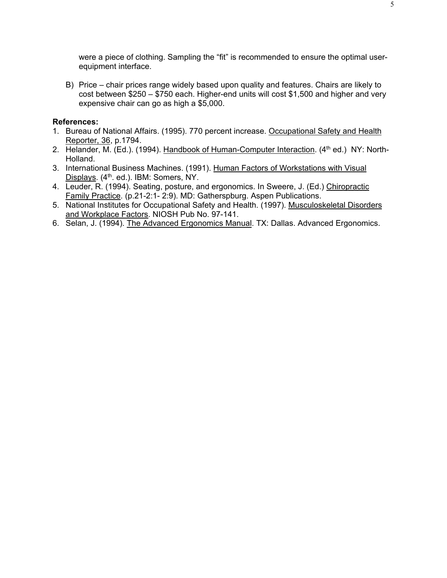were a piece of clothing. Sampling the "fit" is recommended to ensure the optimal userequipment interface.

B) Price – chair prices range widely based upon quality and features. Chairs are likely to cost between \$250 – \$750 each. Higher-end units will cost \$1,500 and higher and very expensive chair can go as high a \$5,000.

#### **References:**

- 1. Bureau of National Affairs. (1995). 770 percent increase. Occupational Safety and Health Reporter, 36, p.1794.
- 2. Helander, M. (Ed.). (1994). Handbook of Human-Computer Interaction. (4<sup>th</sup> ed.) NY: North-Holland.
- 3. International Business Machines. (1991). Human Factors of Workstations with Visual Displays. (4<sup>th</sup>. ed.). IBM: Somers, NY.
- 4. Leuder, R. (1994). Seating, posture, and ergonomics. In Sweere, J. (Ed.) Chiropractic Family Practice. (p.21-2:1- 2:9). MD: Gatherspburg. Aspen Publications.
- 5. National Institutes for Occupational Safety and Health. (1997). Musculoskeletal Disorders and Workplace Factors. NIOSH Pub No. 97-141.
- 6. Selan, J. (1994). The Advanced Ergonomics Manual. TX: Dallas. Advanced Ergonomics.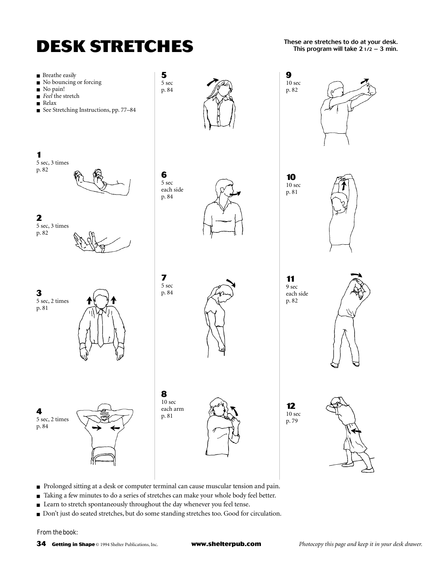

**These are stretches to do at your desk. This program will take 21/2 – 3 min.** 



- Prolonged sitting at a desk or computer terminal can cause muscular tension and pain.
- Taking a few minutes to do a series of stretches can make your whole body feel better.
- Learn to stretch spontaneously throughout the day whenever you feel tense.
- Don't just do seated stretches, but do some standing stretches too. Good for circulation.

From the book: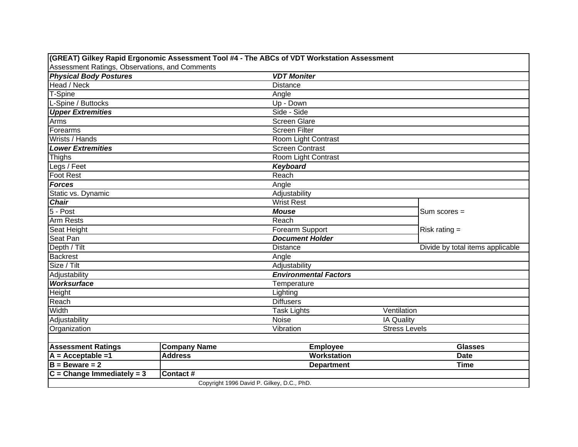|                                                |                     | (GREAT) Gilkey Rapid Ergonomic Assessment Tool #4 - The ABCs of VDT Workstation Assessment |                      |                                  |
|------------------------------------------------|---------------------|--------------------------------------------------------------------------------------------|----------------------|----------------------------------|
| Assessment Ratings, Observations, and Comments |                     |                                                                                            |                      |                                  |
| <b>Physical Body Postures</b>                  |                     | <b>VDT Moniter</b>                                                                         |                      |                                  |
| Head / Neck                                    |                     | <b>Distance</b>                                                                            |                      |                                  |
| T-Spine                                        |                     | Angle                                                                                      |                      |                                  |
| L-Spine / Buttocks                             |                     | Up - Down                                                                                  |                      |                                  |
| <b>Upper Extremities</b>                       |                     | Side - Side                                                                                |                      |                                  |
| Arms                                           |                     | Screen Glare                                                                               |                      |                                  |
| Forearms                                       |                     | <b>Screen Filter</b>                                                                       |                      |                                  |
| Wrists / Hands                                 |                     | Room Light Contrast                                                                        |                      |                                  |
| <b>Lower Extremities</b>                       |                     | <b>Screen Contrast</b>                                                                     |                      |                                  |
| <b>Thighs</b>                                  |                     | Room Light Contrast                                                                        |                      |                                  |
| Legs / Feet                                    |                     | Keyboard                                                                                   |                      |                                  |
| Foot Rest                                      |                     | Reach                                                                                      |                      |                                  |
| <b>Forces</b>                                  |                     | Angle                                                                                      |                      |                                  |
| Static vs. Dynamic                             |                     | Adjustability                                                                              |                      |                                  |
| <b>Chair</b>                                   |                     | <b>Wrist Rest</b>                                                                          |                      |                                  |
| $5 - Post$                                     |                     | <b>Mouse</b>                                                                               | $Sum scores =$       |                                  |
| Arm Rests                                      |                     | Reach                                                                                      |                      |                                  |
| Seat Height                                    |                     | Forearm Support                                                                            | Risk rating $=$      |                                  |
| Seat Pan                                       |                     | <b>Document Holder</b>                                                                     |                      |                                  |
| $\overline{\mathsf{Depth}}$ / Tilt             |                     | <b>Distance</b>                                                                            |                      | Divide by total items applicable |
| <b>Backrest</b>                                |                     | Angle                                                                                      |                      |                                  |
| Size / Tilt                                    |                     | Adjustability                                                                              |                      |                                  |
| Adjustability                                  |                     | <b>Environmental Factors</b>                                                               |                      |                                  |
| Worksurface                                    |                     | Temperature                                                                                |                      |                                  |
| Height                                         |                     | Lighting                                                                                   |                      |                                  |
| Reach                                          |                     | <b>Diffusers</b>                                                                           |                      |                                  |
| Width                                          |                     | <b>Task Lights</b>                                                                         | Ventilation          |                                  |
| Adjustability                                  |                     | Noise                                                                                      | IA Quality           |                                  |
| Organization                                   |                     | Vibration                                                                                  | <b>Stress Levels</b> |                                  |
|                                                |                     |                                                                                            |                      |                                  |
| <b>Assessment Ratings</b>                      | <b>Company Name</b> | <b>Employee</b>                                                                            |                      | <b>Glasses</b>                   |
| $A = Acceptable = 1$                           | <b>Address</b>      | <b>Workstation</b>                                                                         |                      | <b>Date</b>                      |
| $B = B$ eware = 2                              |                     | <b>Department</b>                                                                          |                      | <b>Time</b>                      |
| $C = Change$ Immediately = 3                   | Contact#            |                                                                                            |                      |                                  |
|                                                |                     | Copyright 1996 David P. Gilkey, D.C., PhD.                                                 |                      |                                  |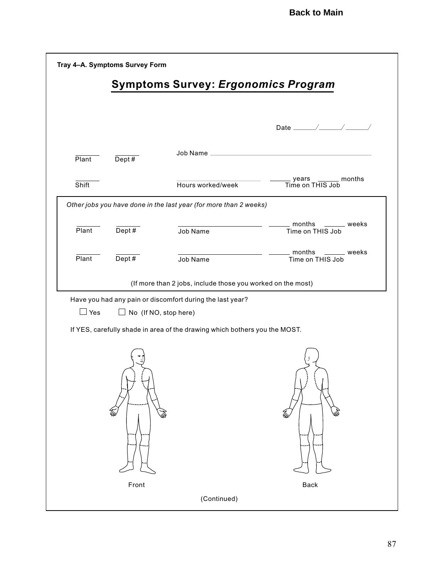| Tray 4-A. Symptoms Survey Form |          |                                                                            |                                                 |
|--------------------------------|----------|----------------------------------------------------------------------------|-------------------------------------------------|
|                                |          | <b>Symptoms Survey: Ergonomics Program</b>                                 |                                                 |
|                                |          |                                                                            |                                                 |
| Plant                          | Dept#    | Job Name                                                                   |                                                 |
| Shift                          |          | Hours worked/week                                                          | _______ months<br>_ years<br>Time on THIS Job   |
|                                |          | Other jobs you have done in the last year (for more than 2 weeks)          |                                                 |
| Plant                          | Dept #   | Job Name                                                                   | $\_$ months<br>______ weeks<br>Time on THIS Job |
| Plant                          | Dept $#$ | Job Name                                                                   | _ months<br>___ weeks<br>Time on THIS Job       |
|                                |          | (If more than 2 jobs, include those you worked on the most)                |                                                 |
|                                |          | Have you had any pain or discomfort during the last year?                  |                                                 |
| $\Box$ Yes                     |          | $\Box$ No (If NO, stop here)                                               |                                                 |
|                                |          | If YES, carefully shade in area of the drawing which bothers you the MOST. |                                                 |
| Front<br>Back                  |          |                                                                            |                                                 |
| (Continued)                    |          |                                                                            |                                                 |
|                                |          |                                                                            |                                                 |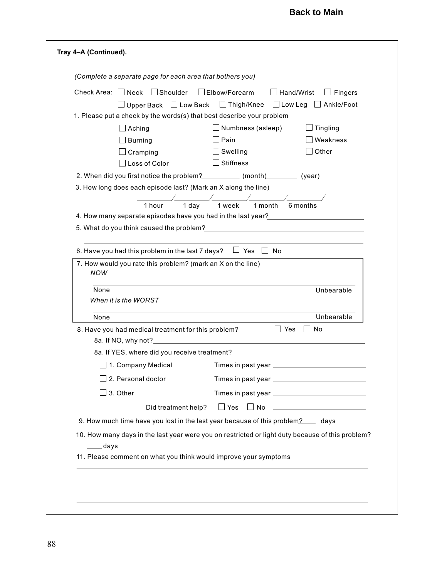| (Complete a separate page for each area that bothers you)                                                                                                                                                                      |                                     |                                     |
|--------------------------------------------------------------------------------------------------------------------------------------------------------------------------------------------------------------------------------|-------------------------------------|-------------------------------------|
| Check Area: □ Neck<br>$\Box$ Shoulder                                                                                                                                                                                          | $\Box$ Elbow/Forearm                | $\Box$ Hand/Wrist<br>$\Box$ Fingers |
| Upper Back $\Box$ Low Back<br>1. Please put a check by the words(s) that best describe your problem                                                                                                                            | □ Thigh/Knee □ Low Leg □ Ankle/Foot |                                     |
| Aching                                                                                                                                                                                                                         | Numbness (asleep)                   | Tingling                            |
| <b>Burning</b>                                                                                                                                                                                                                 | Pain                                | Weakness                            |
| Cramping                                                                                                                                                                                                                       | Swelling                            | Other                               |
| Loss of Color                                                                                                                                                                                                                  | <b>Stiffness</b>                    |                                     |
| 2. When did you first notice the problem? ___________ (month) ________ (year)                                                                                                                                                  |                                     |                                     |
| 3. How long does each episode last? (Mark an X along the line)                                                                                                                                                                 |                                     |                                     |
| $1$ day<br>1 hour                                                                                                                                                                                                              | 1 week<br>1 month                   | 6 months                            |
| 4. How many separate episodes have you had in the last year?                                                                                                                                                                   |                                     |                                     |
| 5. What do you think caused the problem? The contract of the contract of the contract of the contract of the contract of the contract of the contract of the contract of the contract of the contract of the contract of the c |                                     |                                     |
|                                                                                                                                                                                                                                |                                     |                                     |
| 6. Have you had this problem in the last 7 days?                                                                                                                                                                               | $\Box$ Yes $\Box$<br>⊥ No           |                                     |
| None<br>When it is the WORST                                                                                                                                                                                                   |                                     | Unbearable                          |
| None                                                                                                                                                                                                                           |                                     | Unbearable                          |
| 8. Have you had medical treatment for this problem?                                                                                                                                                                            | ∐ Yes                               | <b>No</b>                           |
| 8a. If YES, where did you receive treatment?                                                                                                                                                                                   |                                     |                                     |
| □ 1. Company Medical Times in past year <u>________</u>                                                                                                                                                                        |                                     |                                     |
| 2. Personal doctor                                                                                                                                                                                                             |                                     |                                     |
| 3. Other                                                                                                                                                                                                                       |                                     |                                     |
| Did treatment help?                                                                                                                                                                                                            | $\Box$ Yes                          |                                     |
| 9. How much time have you lost in the last year because of this problem? _____ days                                                                                                                                            |                                     |                                     |
| 10. How many days in the last year were you on restricted or light duty because of this problem?<br>___days                                                                                                                    |                                     |                                     |
|                                                                                                                                                                                                                                |                                     |                                     |
| 11. Please comment on what you think would improve your symptoms                                                                                                                                                               |                                     |                                     |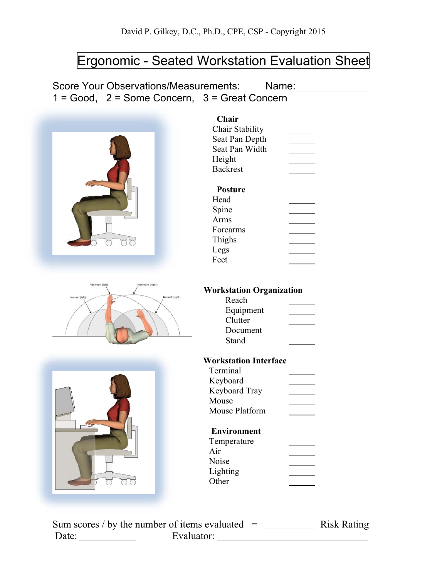# Ergonomic - Seated Workstation Evaluation Sheet

Score Your Observations/Measurements: Name: Name:  $1 = Good$ ,  $2 = Some Concern$ ,  $3 = Great Concern$ 



Sum scores / by the number of items evaluated  $=$  Risk Rating Date: Evaluator: